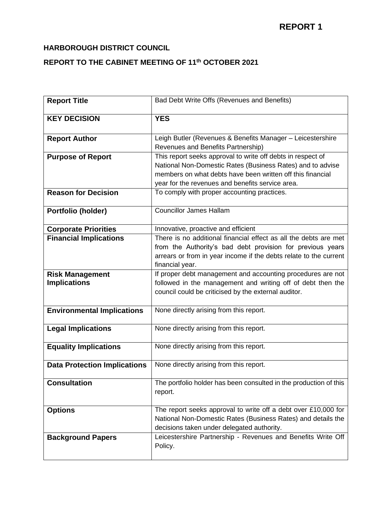## **HARBOROUGH DISTRICT COUNCIL**

# **REPORT TO THE CABINET MEETING OF 11th OCTOBER 2021**

| <b>Report Title</b>                 | Bad Debt Write Offs (Revenues and Benefits)                                                                                                                                                                                                 |
|-------------------------------------|---------------------------------------------------------------------------------------------------------------------------------------------------------------------------------------------------------------------------------------------|
| <b>KEY DECISION</b>                 | <b>YES</b>                                                                                                                                                                                                                                  |
| <b>Report Author</b>                | Leigh Butler (Revenues & Benefits Manager - Leicestershire<br>Revenues and Benefits Partnership)                                                                                                                                            |
| <b>Purpose of Report</b>            | This report seeks approval to write off debts in respect of<br>National Non-Domestic Rates (Business Rates) and to advise<br>members on what debts have been written off this financial<br>year for the revenues and benefits service area. |
| <b>Reason for Decision</b>          | To comply with proper accounting practices.                                                                                                                                                                                                 |
| Portfolio (holder)                  | Councillor James Hallam                                                                                                                                                                                                                     |
| <b>Corporate Priorities</b>         | Innovative, proactive and efficient                                                                                                                                                                                                         |
| <b>Financial Implications</b>       | There is no additional financial effect as all the debts are met<br>from the Authority's bad debt provision for previous years<br>arrears or from in year income if the debts relate to the current<br>financial year.                      |
| <b>Risk Management</b>              | If proper debt management and accounting procedures are not                                                                                                                                                                                 |
| <b>Implications</b>                 | followed in the management and writing off of debt then the<br>council could be criticised by the external auditor.                                                                                                                         |
| <b>Environmental Implications</b>   | None directly arising from this report.                                                                                                                                                                                                     |
| <b>Legal Implications</b>           | None directly arising from this report.                                                                                                                                                                                                     |
| <b>Equality Implications</b>        | None directly arising from this report.                                                                                                                                                                                                     |
| <b>Data Protection Implications</b> | None directly arising from this report.                                                                                                                                                                                                     |
| <b>Consultation</b>                 | The portfolio holder has been consulted in the production of this<br>report.                                                                                                                                                                |
| <b>Options</b>                      | The report seeks approval to write off a debt over £10,000 for<br>National Non-Domestic Rates (Business Rates) and details the<br>decisions taken under delegated authority.                                                                |
| <b>Background Papers</b>            | Leicestershire Partnership - Revenues and Benefits Write Off<br>Policy.                                                                                                                                                                     |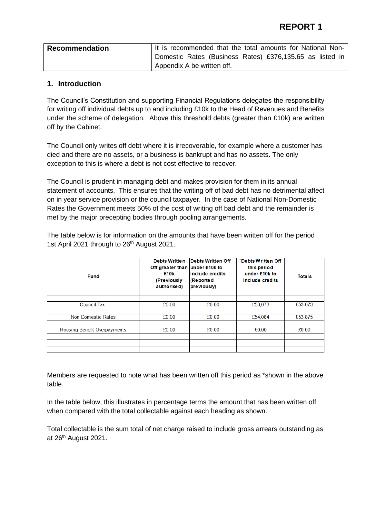| <b>Recommendation</b> | It is recommended that the total amounts for National Non- |
|-----------------------|------------------------------------------------------------|
|                       | Domestic Rates (Business Rates) £376,135.65 as listed in   |
|                       | Appendix A be written off.                                 |

#### **1. Introduction**

The Council's Constitution and supporting Financial Regulations delegates the responsibility for writing off individual debts up to and including £10k to the Head of Revenues and Benefits under the scheme of delegation. Above this threshold debts (greater than £10k) are written off by the Cabinet.

The Council only writes off debt where it is irrecoverable, for example where a customer has died and there are no assets, or a business is bankrupt and has no assets. The only exception to this is where a debt is not cost effective to recover.

The Council is prudent in managing debt and makes provision for them in its annual statement of accounts. This ensures that the writing off of bad debt has no detrimental affect on in year service provision or the council taxpayer. In the case of National Non-Domestic Rates the Government meets 50% of the cost of writing off bad debt and the remainder is met by the major precepting bodies through pooling arrangements.

The table below is for information on the amounts that have been written off for the period 1st April 2021 through to 26<sup>th</sup> August 2021.

| Fund                         | Debts Written<br>Off greater than under £10k to<br>£10k<br>(Previously<br>authorised) | <b>IDebts Written Off</b><br>linclude credits<br>(Reported<br>previously) | *Debts Written Off<br>this period<br>under £10k to<br>include credits | Totals  |
|------------------------------|---------------------------------------------------------------------------------------|---------------------------------------------------------------------------|-----------------------------------------------------------------------|---------|
|                              |                                                                                       |                                                                           |                                                                       |         |
| Council Tax                  | £0.00                                                                                 | £0.00                                                                     | £53,073                                                               | £53,073 |
|                              |                                                                                       |                                                                           |                                                                       |         |
| Non Domestic Rates           | £0.00                                                                                 | £0.00                                                                     | £54,084                                                               | £53,875 |
|                              |                                                                                       |                                                                           |                                                                       |         |
| Housing Benefit Overpayments | £0.00                                                                                 | £0.00                                                                     | £0.00                                                                 | £0.00   |
|                              |                                                                                       |                                                                           |                                                                       |         |
|                              |                                                                                       |                                                                           |                                                                       |         |
|                              |                                                                                       |                                                                           |                                                                       |         |

Members are requested to note what has been written off this period as \*shown in the above table.

In the table below, this illustrates in percentage terms the amount that has been written off when compared with the total collectable against each heading as shown.

Total collectable is the sum total of net charge raised to include gross arrears outstanding as at 26<sup>th</sup> August 2021.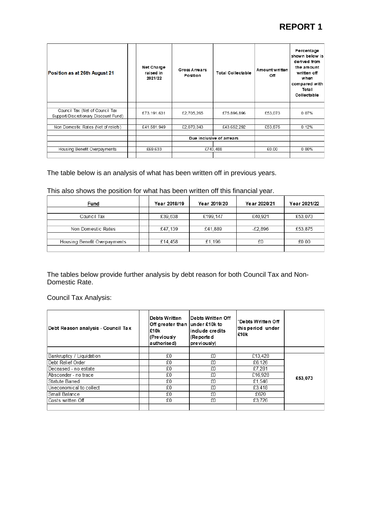# **REPORT 1**

| Position as at 26th August 21                                           | Net Charge<br>raised in<br>2021/22 | Gross Arrears<br>Position | <b>Total Collectable</b> | Amount written<br>Off | Percentage<br>shown below is<br>derived from<br>the amount<br>written off<br>when<br>compared with<br>Total<br>Collectable |
|-------------------------------------------------------------------------|------------------------------------|---------------------------|--------------------------|-----------------------|----------------------------------------------------------------------------------------------------------------------------|
|                                                                         |                                    |                           |                          |                       |                                                                                                                            |
| Council Tax (Net of Council Tax<br>Support/Discretionary Discount Fund) | £73,191,631                        | £2,705,265                | £75,896,896              | £53.073               | 0.07%                                                                                                                      |
|                                                                         |                                    |                           |                          |                       |                                                                                                                            |
| Non Domestic Rates (Net of reliefs)                                     | £41,581,949                        | £2.070.343                | £43,652,292              | £53,875               | 0.12%                                                                                                                      |
|                                                                         |                                    |                           |                          |                       |                                                                                                                            |
|                                                                         |                                    |                           | Due inclusive of arrears |                       |                                                                                                                            |
|                                                                         |                                    |                           |                          |                       |                                                                                                                            |
| Housing Benefit Overpayments                                            | £69.633                            |                           | £743.488                 | £0.00                 | $0.00\%$                                                                                                                   |
|                                                                         |                                    |                           |                          |                       |                                                                                                                            |

#### The table below is an analysis of what has been written off in previous years.

|  | This also shows the position for what has been written off this financial year. |  |  |  |  |  |
|--|---------------------------------------------------------------------------------|--|--|--|--|--|
|--|---------------------------------------------------------------------------------|--|--|--|--|--|

| Fund                         | Year 2018/19 | Year 2019/20 | Year 2020/21 | Year 2021/22 |
|------------------------------|--------------|--------------|--------------|--------------|
|                              |              |              |              |              |
| Council Tax                  | £39,638      | £199,147     | £40.921      | £53,073      |
|                              |              |              |              |              |
| Non Domestic Rates           | £47.139      | £41,889      | £2.896       | £53,875      |
|                              |              |              |              |              |
| Housing Benefit Overpayments | £14,458      | £1.196       | £0           | £0.00        |
|                              |              |              |              |              |

The tables below provide further analysis by debt reason for both Council Tax and Non-Domestic Rate.

Council Tax Analysis:

| Debt Reason analysis - Council Tax | <b>Debts Written</b><br>Off greater than under £10k to<br>£10k<br>(Previously<br>authorised) | lDebts Written Off<br>linclude credits<br>(Reported<br>previously) | *Debts Written Off<br>this period under<br>£10k |         |
|------------------------------------|----------------------------------------------------------------------------------------------|--------------------------------------------------------------------|-------------------------------------------------|---------|
|                                    |                                                                                              |                                                                    |                                                 |         |
| Bankruptcy / Liquidation           | £0                                                                                           | £0                                                                 | £13,428                                         |         |
| Debt Relief Order                  | £0                                                                                           | £0                                                                 | £6.126                                          |         |
| Deceased - no estate               | £0                                                                                           | £0                                                                 | £7,281                                          |         |
| Absconder - no trace               | £0                                                                                           | £0                                                                 | £16,928                                         | £53,073 |
| Statute Barred                     | £0                                                                                           | £0                                                                 | £1.546                                          |         |
| Uneconomical to collect            | £0                                                                                           | £0                                                                 | £3,418                                          |         |
| Small Balance                      | £0                                                                                           | £0                                                                 | £620                                            |         |
| Costs written Off                  | £0                                                                                           | £0                                                                 | £3.726                                          |         |
|                                    |                                                                                              |                                                                    |                                                 |         |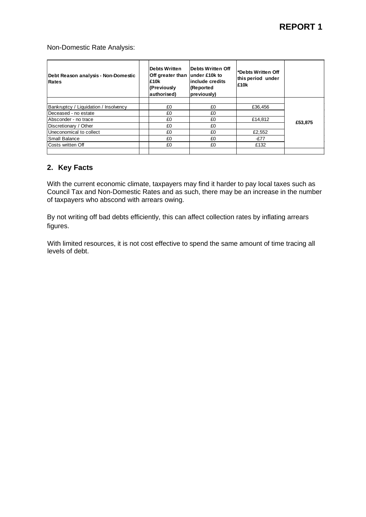Non-Domestic Rate Analysis:

| Debt Reason analysis - Non-Domestic<br>Rates | Debts Written<br>Off greater than<br>£10k<br>(Previously<br>authorised) | Debts Written Off<br>lunder £10k to<br>include credits<br>(Reported<br>previously) | l*Debts Written Off<br>this period under<br>£10k |         |
|----------------------------------------------|-------------------------------------------------------------------------|------------------------------------------------------------------------------------|--------------------------------------------------|---------|
| Bankruptcy / Liquidation / Insolvency        | £0                                                                      | £0                                                                                 | £36,456                                          |         |
| Deceased - no estate                         | £0                                                                      | £0                                                                                 |                                                  |         |
| Absconder - no trace                         | £0                                                                      | £0                                                                                 | £14.812                                          |         |
| Discretionary / Other                        | £0                                                                      | £0                                                                                 |                                                  | £53,875 |
| Uneconomical to collect                      | £0                                                                      | £0                                                                                 | £2,552                                           |         |
| <b>Small Balance</b>                         | £0                                                                      | £0                                                                                 | $-E77$                                           |         |
| Costs written Off                            | £0                                                                      | £0                                                                                 | £132                                             |         |
|                                              |                                                                         |                                                                                    |                                                  |         |

#### **2. Key Facts**

With the current economic climate, taxpayers may find it harder to pay local taxes such as Council Tax and Non-Domestic Rates and as such, there may be an increase in the number of taxpayers who abscond with arrears owing.

By not writing off bad debts efficiently, this can affect collection rates by inflating arrears figures.

With limited resources, it is not cost effective to spend the same amount of time tracing all levels of debt.